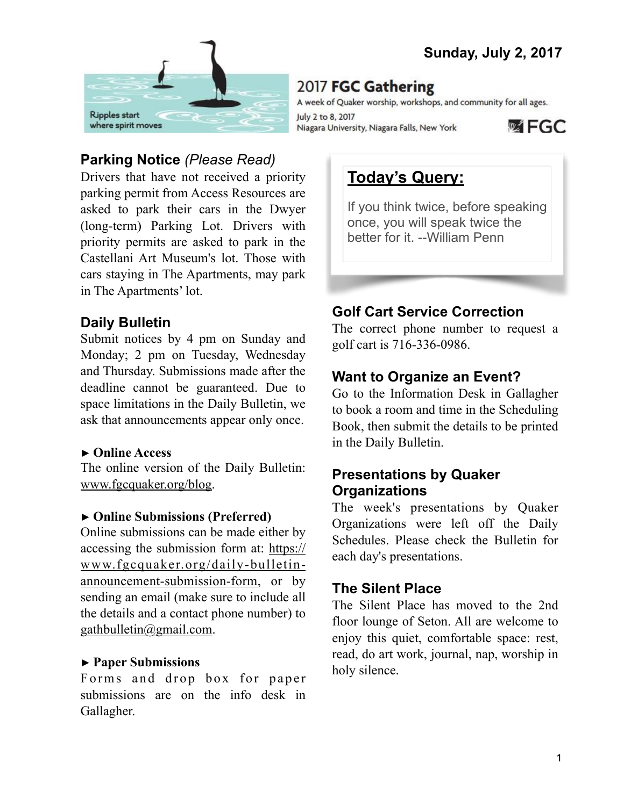

# **Parking Notice** *(Please Read)*

Drivers that have not received a priority parking permit from Access Resources are asked to park their cars in the Dwyer (long-term) Parking Lot. Drivers with priority permits are asked to park in the Castellani Art Museum's lot. Those with cars staying in The Apartments, may park in The Apartments' lot.

## **Daily Bulletin**

Submit notices by 4 pm on Sunday and Monday; 2 pm on Tuesday, Wednesday and Thursday. Submissions made after the deadline cannot be guaranteed. Due to space limitations in the Daily Bulletin, we ask that announcements appear only once.

#### **► Online Access**

The online version of the Daily Bulletin: [www.fgcquaker.org/blog.](http://www.fgcquaker.org/blog)

## **► Online Submissions (Preferred)**

Online submissions can be made either by accessing the submission form at: [https://](https://www.fgcquaker.org/daily-bulletin-announcement-submission-form) [www.fgcquaker.org/daily-bulletin](https://www.fgcquaker.org/daily-bulletin-announcement-submission-form)[announcement-submission-form,](https://www.fgcquaker.org/daily-bulletin-announcement-submission-form) or by sending an email (make sure to include all the details and a contact phone number) to [gathbulletin@gmail.com](mailto:gathbulletin@gmail.com).

## ► **Paper Submissions**

Forms and drop box for paper submissions are on the info desk in Gallagher.

# 2017 FGC Gathering

A week of Quaker worship, workshops, and community for all ages.

July 2 to 8, 2017 Niagara University, Niagara Falls, New York



# **Today's Query:**

If you think twice, before speaking once, you will speak twice the better for it. --William Penn

# **Golf Cart Service Correction**

The correct phone number to request a golf cart is 716-336-0986.

# **Want to Organize an Event?**

Go to the Information Desk in Gallagher to book a room and time in the Scheduling Book, then submit the details to be printed in the Daily Bulletin.

## **Presentations by Quaker Organizations**

The week's presentations by Quaker Organizations were left off the Daily Schedules. Please check the Bulletin for each day's presentations.

## **The Silent Place**

The Silent Place has moved to the 2nd floor lounge of Seton. All are welcome to enjoy this quiet, comfortable space: rest, read, do art work, journal, nap, worship in holy silence.